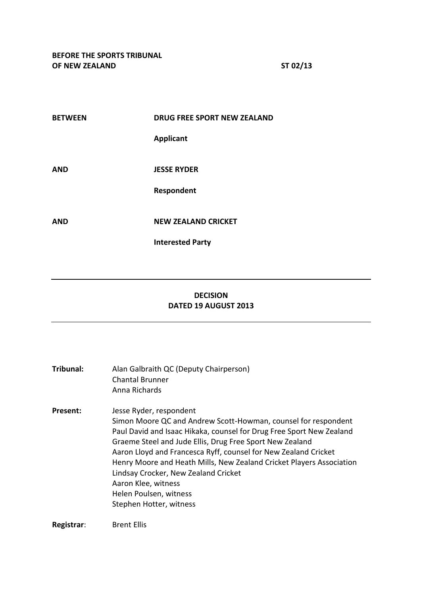| <b>BETWEEN</b> | <b>DRUG FREE SPORT NEW ZEALAND</b> |
|----------------|------------------------------------|
|                | <b>Applicant</b>                   |
| <b>AND</b>     | <b>JESSE RYDER</b>                 |
|                | Respondent                         |
| <b>AND</b>     | <b>NEW ZEALAND CRICKET</b>         |
|                | <b>Interested Party</b>            |

# **DECISION DATED 19 AUGUST 2013**

| Tribunal: | Alan Galbraith QC (Deputy Chairperson)<br>Chantal Brunner<br>Anna Richards                                                                                                                                                                                                                                                                                                                                                                                                                   |
|-----------|----------------------------------------------------------------------------------------------------------------------------------------------------------------------------------------------------------------------------------------------------------------------------------------------------------------------------------------------------------------------------------------------------------------------------------------------------------------------------------------------|
| Present:  | Jesse Ryder, respondent<br>Simon Moore QC and Andrew Scott-Howman, counsel for respondent<br>Paul David and Isaac Hikaka, counsel for Drug Free Sport New Zealand<br>Graeme Steel and Jude Ellis, Drug Free Sport New Zealand<br>Aaron Lloyd and Francesca Ryff, counsel for New Zealand Cricket<br>Henry Moore and Heath Mills, New Zealand Cricket Players Association<br>Lindsay Crocker, New Zealand Cricket<br>Aaron Klee, witness<br>Helen Poulsen, witness<br>Stephen Hotter, witness |
|           |                                                                                                                                                                                                                                                                                                                                                                                                                                                                                              |

**Registrar**: Brent Ellis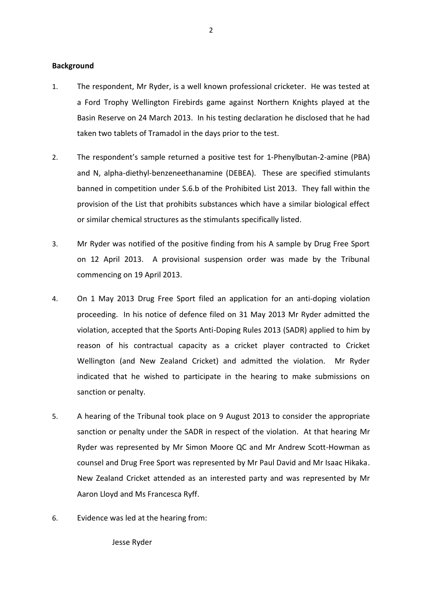### **Background**

- 1. The respondent, Mr Ryder, is a well known professional cricketer. He was tested at a Ford Trophy Wellington Firebirds game against Northern Knights played at the Basin Reserve on 24 March 2013. In his testing declaration he disclosed that he had taken two tablets of Tramadol in the days prior to the test.
- 2. The respondent's sample returned a positive test for 1-Phenylbutan-2-amine (PBA) and N, alpha-diethyl-benzeneethanamine (DEBEA). These are specified stimulants banned in competition under S.6.b of the Prohibited List 2013. They fall within the provision of the List that prohibits substances which have a similar biological effect or similar chemical structures as the stimulants specifically listed.
- 3. Mr Ryder was notified of the positive finding from his A sample by Drug Free Sport on 12 April 2013. A provisional suspension order was made by the Tribunal commencing on 19 April 2013.
- 4. On 1 May 2013 Drug Free Sport filed an application for an anti-doping violation proceeding. In his notice of defence filed on 31 May 2013 Mr Ryder admitted the violation, accepted that the Sports Anti-Doping Rules 2013 (SADR) applied to him by reason of his contractual capacity as a cricket player contracted to Cricket Wellington (and New Zealand Cricket) and admitted the violation. Mr Ryder indicated that he wished to participate in the hearing to make submissions on sanction or penalty.
- 5. A hearing of the Tribunal took place on 9 August 2013 to consider the appropriate sanction or penalty under the SADR in respect of the violation. At that hearing Mr Ryder was represented by Mr Simon Moore QC and Mr Andrew Scott-Howman as counsel and Drug Free Sport was represented by Mr Paul David and Mr Isaac Hikaka. New Zealand Cricket attended as an interested party and was represented by Mr Aaron Lloyd and Ms Francesca Ryff.
- 6. Evidence was led at the hearing from:

Jesse Ryder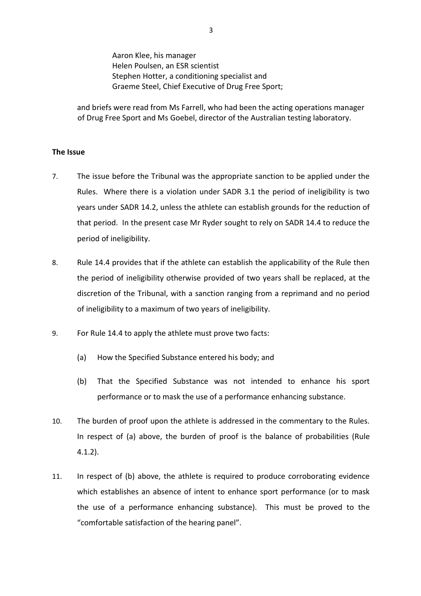Aaron Klee, his manager Helen Poulsen, an ESR scientist Stephen Hotter, a conditioning specialist and Graeme Steel, Chief Executive of Drug Free Sport;

and briefs were read from Ms Farrell, who had been the acting operations manager of Drug Free Sport and Ms Goebel, director of the Australian testing laboratory.

# **The Issue**

- 7. The issue before the Tribunal was the appropriate sanction to be applied under the Rules. Where there is a violation under SADR 3.1 the period of ineligibility is two years under SADR 14.2, unless the athlete can establish grounds for the reduction of that period. In the present case Mr Ryder sought to rely on SADR 14.4 to reduce the period of ineligibility.
- 8. Rule 14.4 provides that if the athlete can establish the applicability of the Rule then the period of ineligibility otherwise provided of two years shall be replaced, at the discretion of the Tribunal, with a sanction ranging from a reprimand and no period of ineligibility to a maximum of two years of ineligibility.
- 9. For Rule 14.4 to apply the athlete must prove two facts:
	- (a) How the Specified Substance entered his body; and
	- (b) That the Specified Substance was not intended to enhance his sport performance or to mask the use of a performance enhancing substance.
- 10. The burden of proof upon the athlete is addressed in the commentary to the Rules. In respect of (a) above, the burden of proof is the balance of probabilities (Rule 4.1.2).
- 11. In respect of (b) above, the athlete is required to produce corroborating evidence which establishes an absence of intent to enhance sport performance (or to mask the use of a performance enhancing substance). This must be proved to the "comfortable satisfaction of the hearing panel".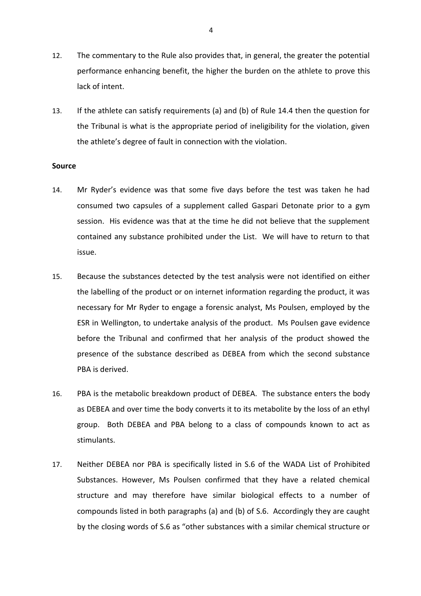- 12. The commentary to the Rule also provides that, in general, the greater the potential performance enhancing benefit, the higher the burden on the athlete to prove this lack of intent.
- 13. If the athlete can satisfy requirements (a) and (b) of Rule 14.4 then the question for the Tribunal is what is the appropriate period of ineligibility for the violation, given the athlete's degree of fault in connection with the violation.

#### **Source**

- 14. Mr Ryder's evidence was that some five days before the test was taken he had consumed two capsules of a supplement called Gaspari Detonate prior to a gym session. His evidence was that at the time he did not believe that the supplement contained any substance prohibited under the List. We will have to return to that issue.
- 15. Because the substances detected by the test analysis were not identified on either the labelling of the product or on internet information regarding the product, it was necessary for Mr Ryder to engage a forensic analyst, Ms Poulsen, employed by the ESR in Wellington, to undertake analysis of the product. Ms Poulsen gave evidence before the Tribunal and confirmed that her analysis of the product showed the presence of the substance described as DEBEA from which the second substance PBA is derived.
- 16. PBA is the metabolic breakdown product of DEBEA. The substance enters the body as DEBEA and over time the body converts it to its metabolite by the loss of an ethyl group. Both DEBEA and PBA belong to a class of compounds known to act as stimulants.
- 17. Neither DEBEA nor PBA is specifically listed in S.6 of the WADA List of Prohibited Substances. However, Ms Poulsen confirmed that they have a related chemical structure and may therefore have similar biological effects to a number of compounds listed in both paragraphs (a) and (b) of S.6. Accordingly they are caught by the closing words of S.6 as "other substances with a similar chemical structure or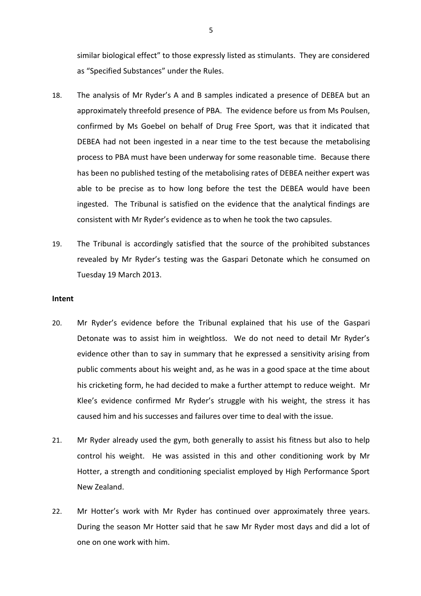similar biological effect" to those expressly listed as stimulants. They are considered as "Specified Substances" under the Rules.

- 18. The analysis of Mr Ryder's A and B samples indicated a presence of DEBEA but an approximately threefold presence of PBA. The evidence before us from Ms Poulsen, confirmed by Ms Goebel on behalf of Drug Free Sport, was that it indicated that DEBEA had not been ingested in a near time to the test because the metabolising process to PBA must have been underway for some reasonable time. Because there has been no published testing of the metabolising rates of DEBEA neither expert was able to be precise as to how long before the test the DEBEA would have been ingested. The Tribunal is satisfied on the evidence that the analytical findings are consistent with Mr Ryder's evidence as to when he took the two capsules.
- 19. The Tribunal is accordingly satisfied that the source of the prohibited substances revealed by Mr Ryder's testing was the Gaspari Detonate which he consumed on Tuesday 19 March 2013.

## **Intent**

- 20. Mr Ryder's evidence before the Tribunal explained that his use of the Gaspari Detonate was to assist him in weightloss. We do not need to detail Mr Ryder's evidence other than to say in summary that he expressed a sensitivity arising from public comments about his weight and, as he was in a good space at the time about his cricketing form, he had decided to make a further attempt to reduce weight. Mr Klee's evidence confirmed Mr Ryder's struggle with his weight, the stress it has caused him and his successes and failures over time to deal with the issue.
- 21. Mr Ryder already used the gym, both generally to assist his fitness but also to help control his weight. He was assisted in this and other conditioning work by Mr Hotter, a strength and conditioning specialist employed by High Performance Sport New Zealand.
- 22. Mr Hotter's work with Mr Ryder has continued over approximately three years. During the season Mr Hotter said that he saw Mr Ryder most days and did a lot of one on one work with him.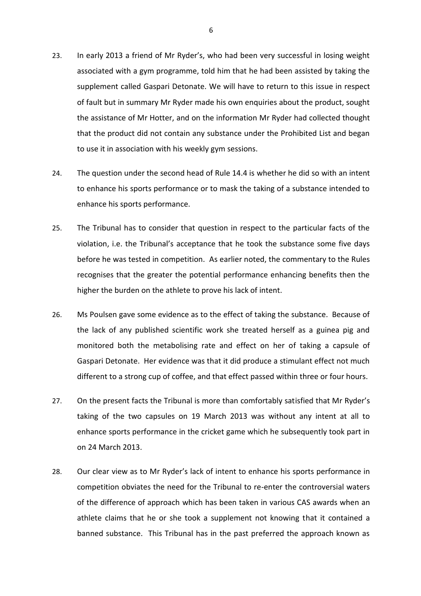- 23. In early 2013 a friend of Mr Ryder's, who had been very successful in losing weight associated with a gym programme, told him that he had been assisted by taking the supplement called Gaspari Detonate. We will have to return to this issue in respect of fault but in summary Mr Ryder made his own enquiries about the product, sought the assistance of Mr Hotter, and on the information Mr Ryder had collected thought that the product did not contain any substance under the Prohibited List and began to use it in association with his weekly gym sessions.
- 24. The question under the second head of Rule 14.4 is whether he did so with an intent to enhance his sports performance or to mask the taking of a substance intended to enhance his sports performance.
- 25. The Tribunal has to consider that question in respect to the particular facts of the violation, i.e. the Tribunal's acceptance that he took the substance some five days before he was tested in competition. As earlier noted, the commentary to the Rules recognises that the greater the potential performance enhancing benefits then the higher the burden on the athlete to prove his lack of intent.
- 26. Ms Poulsen gave some evidence as to the effect of taking the substance. Because of the lack of any published scientific work she treated herself as a guinea pig and monitored both the metabolising rate and effect on her of taking a capsule of Gaspari Detonate. Her evidence was that it did produce a stimulant effect not much different to a strong cup of coffee, and that effect passed within three or four hours.
- 27. On the present facts the Tribunal is more than comfortably satisfied that Mr Ryder's taking of the two capsules on 19 March 2013 was without any intent at all to enhance sports performance in the cricket game which he subsequently took part in on 24 March 2013.
- 28. Our clear view as to Mr Ryder's lack of intent to enhance his sports performance in competition obviates the need for the Tribunal to re-enter the controversial waters of the difference of approach which has been taken in various CAS awards when an athlete claims that he or she took a supplement not knowing that it contained a banned substance. This Tribunal has in the past preferred the approach known as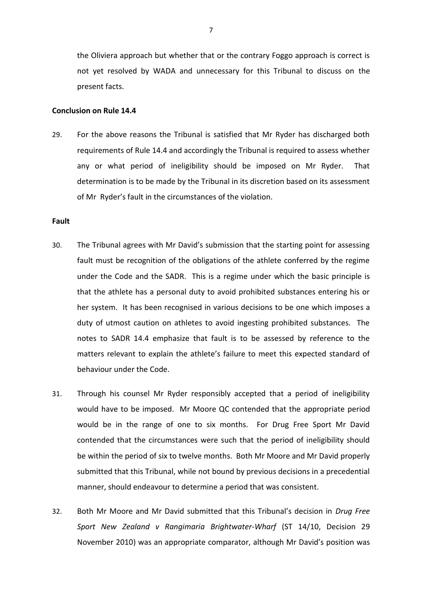the Oliviera approach but whether that or the contrary Foggo approach is correct is not yet resolved by WADA and unnecessary for this Tribunal to discuss on the present facts.

#### **Conclusion on Rule 14.4**

29. For the above reasons the Tribunal is satisfied that Mr Ryder has discharged both requirements of Rule 14.4 and accordingly the Tribunal is required to assess whether any or what period of ineligibility should be imposed on Mr Ryder. That determination is to be made by the Tribunal in its discretion based on its assessment of Mr Ryder's fault in the circumstances of the violation.

# **Fault**

- 30. The Tribunal agrees with Mr David's submission that the starting point for assessing fault must be recognition of the obligations of the athlete conferred by the regime under the Code and the SADR. This is a regime under which the basic principle is that the athlete has a personal duty to avoid prohibited substances entering his or her system. It has been recognised in various decisions to be one which imposes a duty of utmost caution on athletes to avoid ingesting prohibited substances. The notes to SADR 14.4 emphasize that fault is to be assessed by reference to the matters relevant to explain the athlete's failure to meet this expected standard of behaviour under the Code.
- 31. Through his counsel Mr Ryder responsibly accepted that a period of ineligibility would have to be imposed. Mr Moore QC contended that the appropriate period would be in the range of one to six months. For Drug Free Sport Mr David contended that the circumstances were such that the period of ineligibility should be within the period of six to twelve months. Both Mr Moore and Mr David properly submitted that this Tribunal, while not bound by previous decisions in a precedential manner, should endeavour to determine a period that was consistent.
- 32. Both Mr Moore and Mr David submitted that this Tribunal's decision in *Drug Free Sport New Zealand v Rangimaria Brightwater-Wharf* (ST 14/10, Decision 29 November 2010) was an appropriate comparator, although Mr David's position was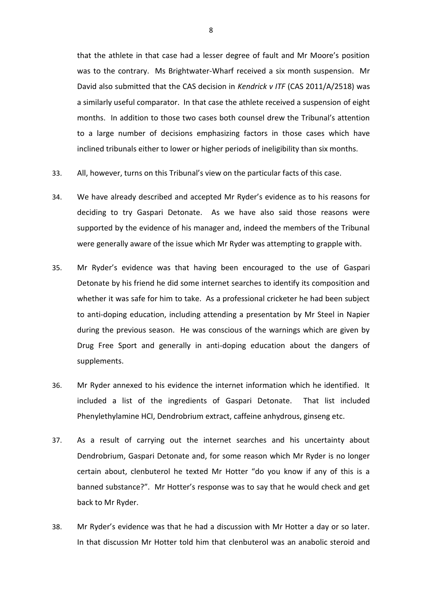that the athlete in that case had a lesser degree of fault and Mr Moore's position was to the contrary. Ms Brightwater-Wharf received a six month suspension. Mr David also submitted that the CAS decision in *Kendrick v ITF* (CAS 2011/A/2518) was a similarly useful comparator. In that case the athlete received a suspension of eight months. In addition to those two cases both counsel drew the Tribunal's attention to a large number of decisions emphasizing factors in those cases which have inclined tribunals either to lower or higher periods of ineligibility than six months.

- 33. All, however, turns on this Tribunal's view on the particular facts of this case.
- 34. We have already described and accepted Mr Ryder's evidence as to his reasons for deciding to try Gaspari Detonate. As we have also said those reasons were supported by the evidence of his manager and, indeed the members of the Tribunal were generally aware of the issue which Mr Ryder was attempting to grapple with.
- 35. Mr Ryder's evidence was that having been encouraged to the use of Gaspari Detonate by his friend he did some internet searches to identify its composition and whether it was safe for him to take. As a professional cricketer he had been subject to anti-doping education, including attending a presentation by Mr Steel in Napier during the previous season. He was conscious of the warnings which are given by Drug Free Sport and generally in anti-doping education about the dangers of supplements.
- 36. Mr Ryder annexed to his evidence the internet information which he identified. It included a list of the ingredients of Gaspari Detonate. That list included Phenylethylamine HCI, Dendrobrium extract, caffeine anhydrous, ginseng etc.
- 37. As a result of carrying out the internet searches and his uncertainty about Dendrobrium, Gaspari Detonate and, for some reason which Mr Ryder is no longer certain about, clenbuterol he texted Mr Hotter "do you know if any of this is a banned substance?". Mr Hotter's response was to say that he would check and get back to Mr Ryder.
- 38. Mr Ryder's evidence was that he had a discussion with Mr Hotter a day or so later. In that discussion Mr Hotter told him that clenbuterol was an anabolic steroid and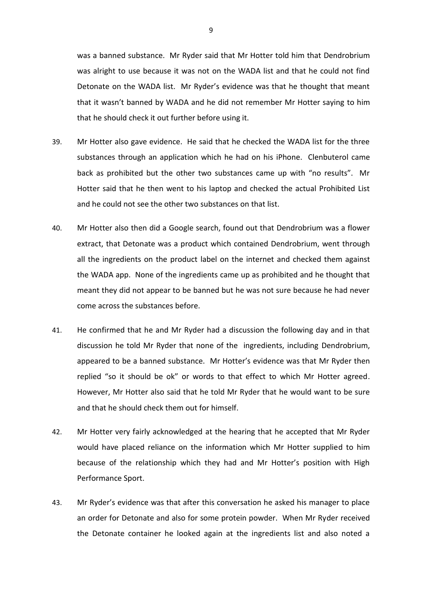was a banned substance. Mr Ryder said that Mr Hotter told him that Dendrobrium was alright to use because it was not on the WADA list and that he could not find Detonate on the WADA list. Mr Ryder's evidence was that he thought that meant that it wasn't banned by WADA and he did not remember Mr Hotter saying to him that he should check it out further before using it.

- 39. Mr Hotter also gave evidence. He said that he checked the WADA list for the three substances through an application which he had on his iPhone. Clenbuterol came back as prohibited but the other two substances came up with "no results". Mr Hotter said that he then went to his laptop and checked the actual Prohibited List and he could not see the other two substances on that list.
- 40. Mr Hotter also then did a Google search, found out that Dendrobrium was a flower extract, that Detonate was a product which contained Dendrobrium, went through all the ingredients on the product label on the internet and checked them against the WADA app. None of the ingredients came up as prohibited and he thought that meant they did not appear to be banned but he was not sure because he had never come across the substances before.
- 41. He confirmed that he and Mr Ryder had a discussion the following day and in that discussion he told Mr Ryder that none of the ingredients, including Dendrobrium, appeared to be a banned substance. Mr Hotter's evidence was that Mr Ryder then replied "so it should be ok" or words to that effect to which Mr Hotter agreed. However, Mr Hotter also said that he told Mr Ryder that he would want to be sure and that he should check them out for himself.
- 42. Mr Hotter very fairly acknowledged at the hearing that he accepted that Mr Ryder would have placed reliance on the information which Mr Hotter supplied to him because of the relationship which they had and Mr Hotter's position with High Performance Sport.
- 43. Mr Ryder's evidence was that after this conversation he asked his manager to place an order for Detonate and also for some protein powder. When Mr Ryder received the Detonate container he looked again at the ingredients list and also noted a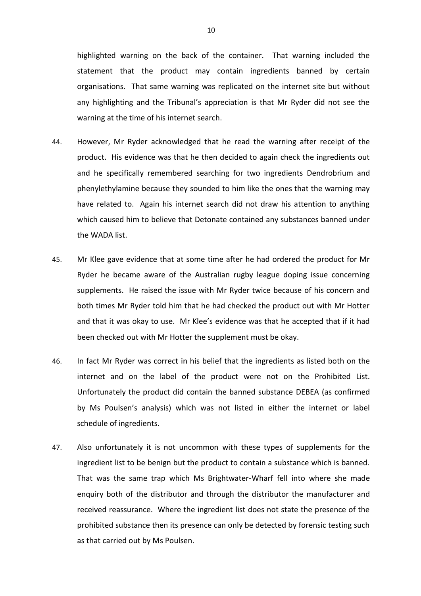highlighted warning on the back of the container. That warning included the statement that the product may contain ingredients banned by certain organisations. That same warning was replicated on the internet site but without any highlighting and the Tribunal's appreciation is that Mr Ryder did not see the warning at the time of his internet search.

- 44. However, Mr Ryder acknowledged that he read the warning after receipt of the product. His evidence was that he then decided to again check the ingredients out and he specifically remembered searching for two ingredients Dendrobrium and phenylethylamine because they sounded to him like the ones that the warning may have related to. Again his internet search did not draw his attention to anything which caused him to believe that Detonate contained any substances banned under the WADA list.
- 45. Mr Klee gave evidence that at some time after he had ordered the product for Mr Ryder he became aware of the Australian rugby league doping issue concerning supplements. He raised the issue with Mr Ryder twice because of his concern and both times Mr Ryder told him that he had checked the product out with Mr Hotter and that it was okay to use. Mr Klee's evidence was that he accepted that if it had been checked out with Mr Hotter the supplement must be okay.
- 46. In fact Mr Ryder was correct in his belief that the ingredients as listed both on the internet and on the label of the product were not on the Prohibited List. Unfortunately the product did contain the banned substance DEBEA (as confirmed by Ms Poulsen's analysis) which was not listed in either the internet or label schedule of ingredients.
- 47. Also unfortunately it is not uncommon with these types of supplements for the ingredient list to be benign but the product to contain a substance which is banned. That was the same trap which Ms Brightwater-Wharf fell into where she made enquiry both of the distributor and through the distributor the manufacturer and received reassurance. Where the ingredient list does not state the presence of the prohibited substance then its presence can only be detected by forensic testing such as that carried out by Ms Poulsen.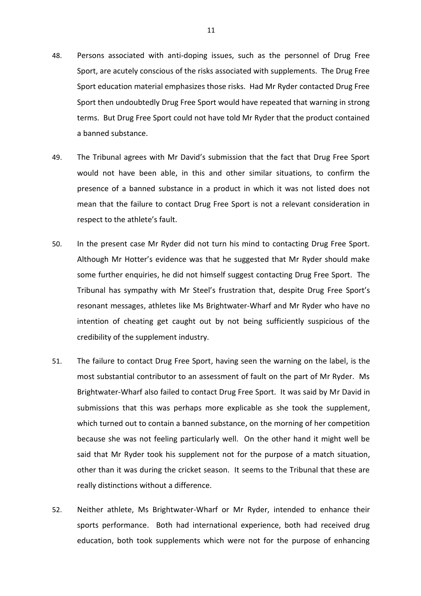- 48. Persons associated with anti-doping issues, such as the personnel of Drug Free Sport, are acutely conscious of the risks associated with supplements. The Drug Free Sport education material emphasizes those risks. Had Mr Ryder contacted Drug Free Sport then undoubtedly Drug Free Sport would have repeated that warning in strong terms. But Drug Free Sport could not have told Mr Ryder that the product contained a banned substance.
- 49. The Tribunal agrees with Mr David's submission that the fact that Drug Free Sport would not have been able, in this and other similar situations, to confirm the presence of a banned substance in a product in which it was not listed does not mean that the failure to contact Drug Free Sport is not a relevant consideration in respect to the athlete's fault.
- 50. In the present case Mr Ryder did not turn his mind to contacting Drug Free Sport. Although Mr Hotter's evidence was that he suggested that Mr Ryder should make some further enquiries, he did not himself suggest contacting Drug Free Sport. The Tribunal has sympathy with Mr Steel's frustration that, despite Drug Free Sport's resonant messages, athletes like Ms Brightwater-Wharf and Mr Ryder who have no intention of cheating get caught out by not being sufficiently suspicious of the credibility of the supplement industry.
- 51. The failure to contact Drug Free Sport, having seen the warning on the label, is the most substantial contributor to an assessment of fault on the part of Mr Ryder. Ms Brightwater-Wharf also failed to contact Drug Free Sport. It was said by Mr David in submissions that this was perhaps more explicable as she took the supplement, which turned out to contain a banned substance, on the morning of her competition because she was not feeling particularly well. On the other hand it might well be said that Mr Ryder took his supplement not for the purpose of a match situation, other than it was during the cricket season. It seems to the Tribunal that these are really distinctions without a difference.
- 52. Neither athlete, Ms Brightwater-Wharf or Mr Ryder, intended to enhance their sports performance. Both had international experience, both had received drug education, both took supplements which were not for the purpose of enhancing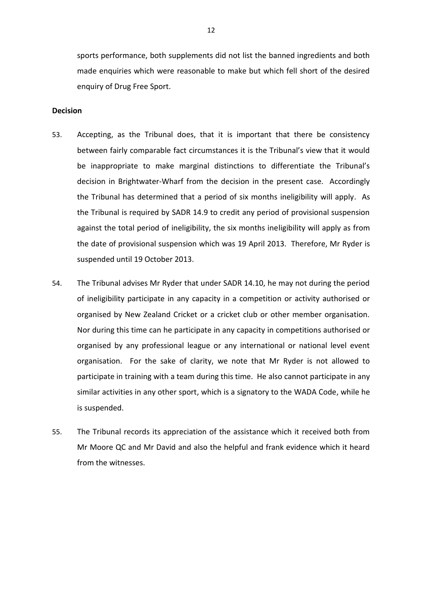sports performance, both supplements did not list the banned ingredients and both made enquiries which were reasonable to make but which fell short of the desired enquiry of Drug Free Sport.

#### **Decision**

- 53. Accepting, as the Tribunal does, that it is important that there be consistency between fairly comparable fact circumstances it is the Tribunal's view that it would be inappropriate to make marginal distinctions to differentiate the Tribunal's decision in Brightwater-Wharf from the decision in the present case. Accordingly the Tribunal has determined that a period of six months ineligibility will apply. As the Tribunal is required by SADR 14.9 to credit any period of provisional suspension against the total period of ineligibility, the six months ineligibility will apply as from the date of provisional suspension which was 19 April 2013. Therefore, Mr Ryder is suspended until 19 October 2013.
- 54. The Tribunal advises Mr Ryder that under SADR 14.10, he may not during the period of ineligibility participate in any capacity in a competition or activity authorised or organised by New Zealand Cricket or a cricket club or other member organisation. Nor during this time can he participate in any capacity in competitions authorised or organised by any professional league or any international or national level event organisation. For the sake of clarity, we note that Mr Ryder is not allowed to participate in training with a team during this time. He also cannot participate in any similar activities in any other sport, which is a signatory to the WADA Code, while he is suspended.
- 55. The Tribunal records its appreciation of the assistance which it received both from Mr Moore QC and Mr David and also the helpful and frank evidence which it heard from the witnesses.